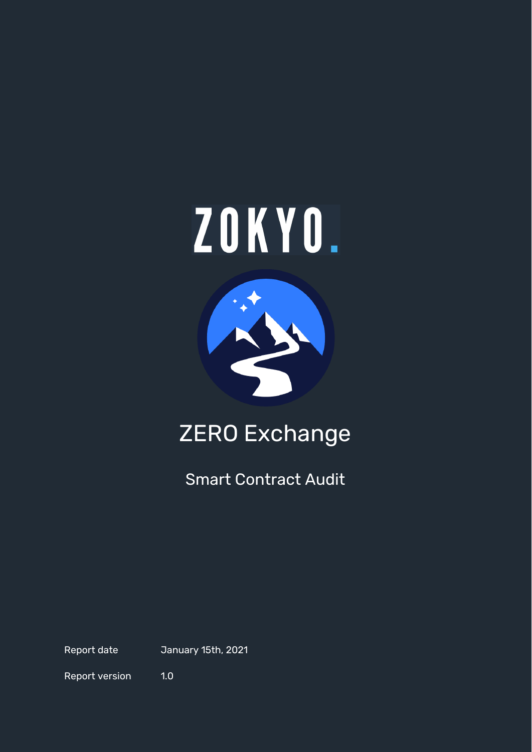



# ZERO Exchange

Smart Contract Audit

Report date January 15th, 2021

Report version 1.0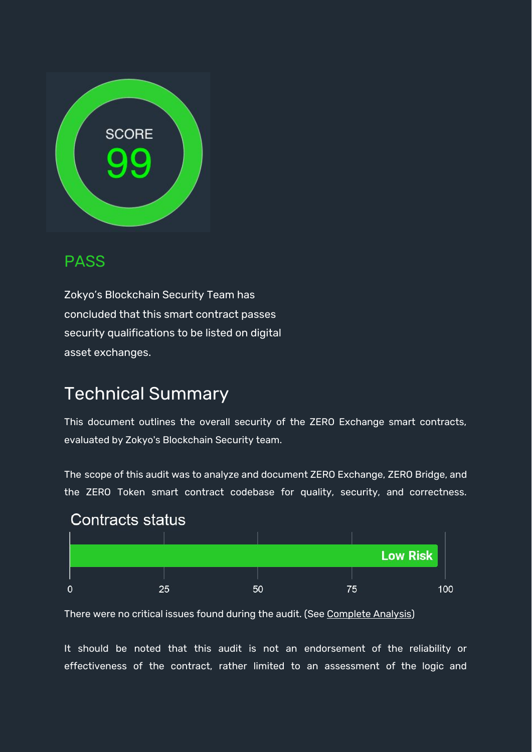

#### PASS

Zokyo's Blockchain Security Team has concluded that this smart contract passes security qualifications to be listed on digital asset exchanges.

# Technical Summary

This document outlines the overall security of the ZERO Exchange smart contracts, evaluated by Zokyo's Blockchain Security team.

The scope of this audit was to analyze and document ZERO Exchange, ZERO Bridge, and the ZERO Token smart contract codebase for quality, security, and correctness.



There were no critical issues found during the audit. (See [Complete](#page-8-0) Analysis)

It should be noted that this audit is not an endorsement of the reliability or effectiveness of the contract, rather limited to an assessment of the logic and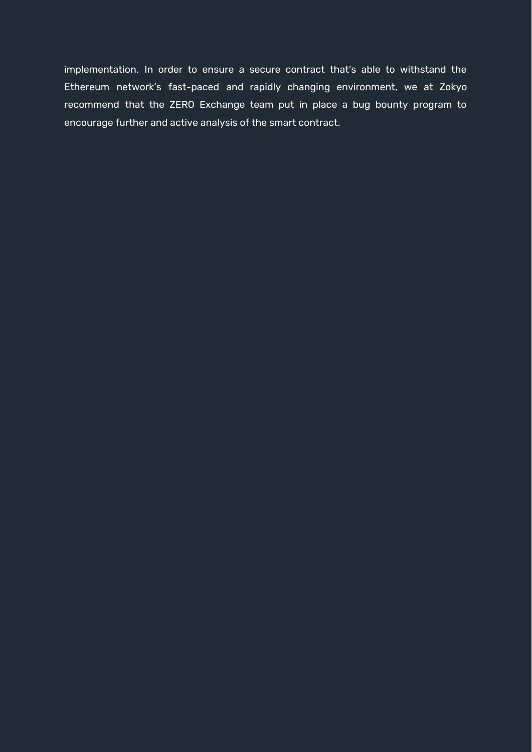implementation. In order to ensure a secure contract that's able to withstand the Ethereum network's fast-paced and rapidly changing environment, we at Zokyo recommend that the ZERO Exchange team put in place a bug bounty program to encourage further and active analysis of the smart contract.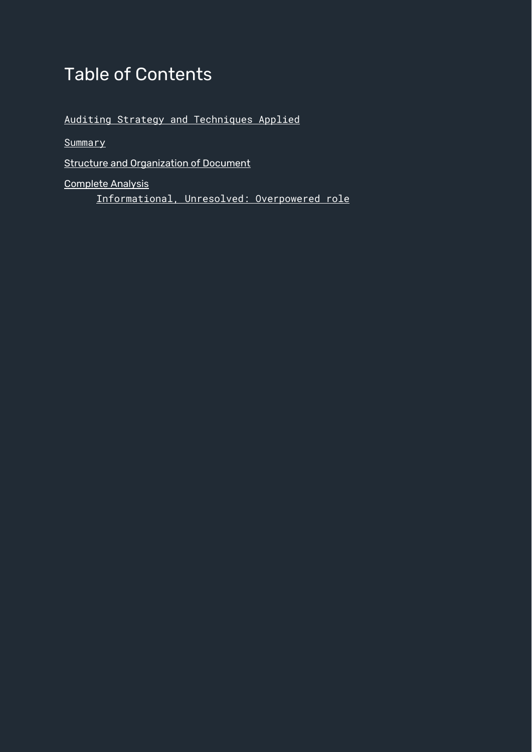# Table of Contents

Auditing Strategy and [Techniques](#page-4-0) Applied

**[Summary](#page-6-0)** 

Structure and [Organization](#page-7-0) of Document

[Complete](#page-8-0) Analysis

[Informational,](#page-8-1) Unresolved: Overpowered role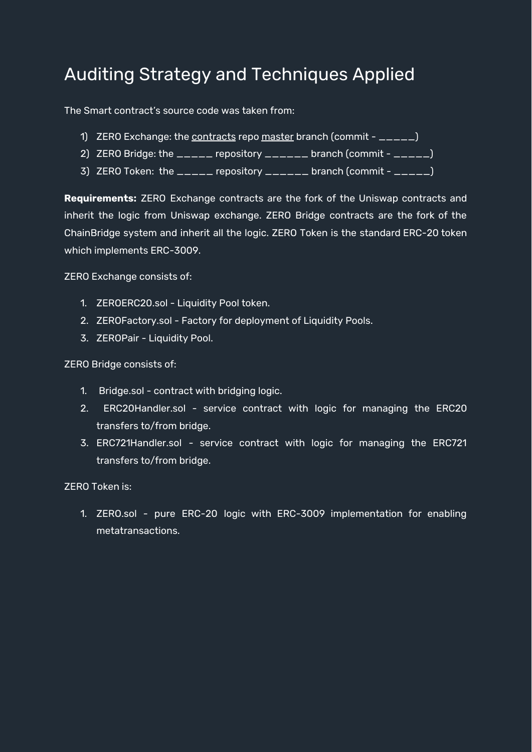# <span id="page-4-0"></span>Auditing Strategy and Techniques Applied

The Smart contract's source code was taken from:

- 1) ZERO Exchange: the [contracts](https://github.com/zeroexchange/contracts) repo [master](https://github.com/zeroexchange/contracts/tree/master/contracts) branch (commit \_\_\_\_\_)
- 2) ZERO Bridge: the \_\_\_\_\_ repository \_\_\_\_\_\_ branch (commit \_\_\_\_\_)
- 3) ZERO Token: the  $\sqrt{2}$  repository  $\sqrt{2}$  and  $\sqrt{2}$  (commit  $\sqrt{2}$  and  $\sqrt{2}$ )

**Requirements:** ZERO Exchange contracts are the fork of the Uniswap contracts and inherit the logic from Uniswap exchange. ZERO Bridge contracts are the fork of the ChainBridge system and inherit all the logic. ZERO Token is the standard ERC-20 token which implements ERC-3009.

ZERO Exchange consists of:

- 1. ZEROERC20.sol Liquidity Pool token.
- 2. ZEROFactory.sol Factory for deployment of Liquidity Pools.
- 3. ZEROPair Liquidity Pool.

ZERO Bridge consists of:

- 1. Bridge.sol contract with bridging logic.
- 2. ERC20Handler.sol service contract with logic for managing the ERC20 transfers to/from bridge.
- 3. ERC721Handler.sol service contract with logic for managing the ERC721 transfers to/from bridge.

ZERO Token is:

1. ZERO.sol - pure ERC-20 logic with ERC-3009 implementation for enabling metatransactions.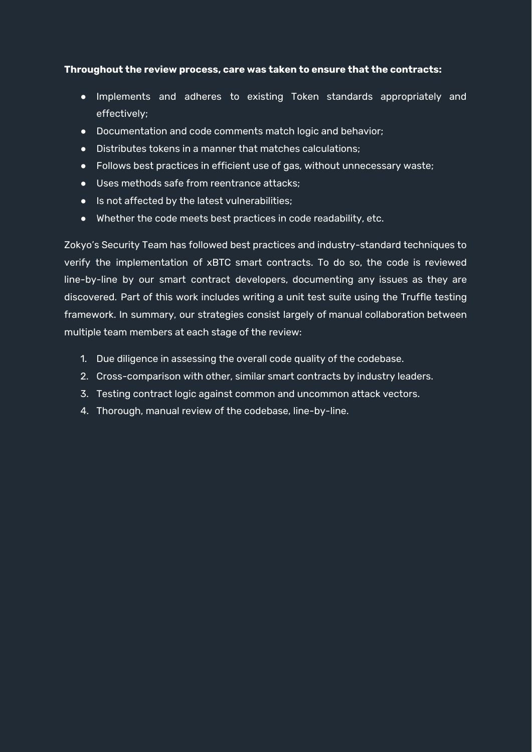#### **Throughout the review process, care was taken to ensure that the contracts:**

- Implements and adheres to existing Token standards appropriately and effectively;
- Documentation and code comments match logic and behavior;
- Distributes tokens in a manner that matches calculations;
- Follows best practices in efficient use of gas, without unnecessary waste;
- Uses methods safe from reentrance attacks;
- Is not affected by the latest vulnerabilities;
- Whether the code meets best practices in code readability, etc.

Zokyo's Security Team has followed best practices and industry-standard techniques to verify the implementation of xBTC smart contracts. To do so, the code is reviewed line-by-line by our smart contract developers, documenting any issues as they are discovered. Part of this work includes writing a unit test suite using the Truffle testing framework. In summary, our strategies consist largely of manual collaboration between multiple team members at each stage of the review:

- 1. Due diligence in assessing the overall code quality of the codebase.
- 2. Cross-comparison with other, similar smart contracts by industry leaders.
- 3. Testing contract logic against common and uncommon attack vectors.
- 4. Thorough, manual review of the codebase, line-by-line.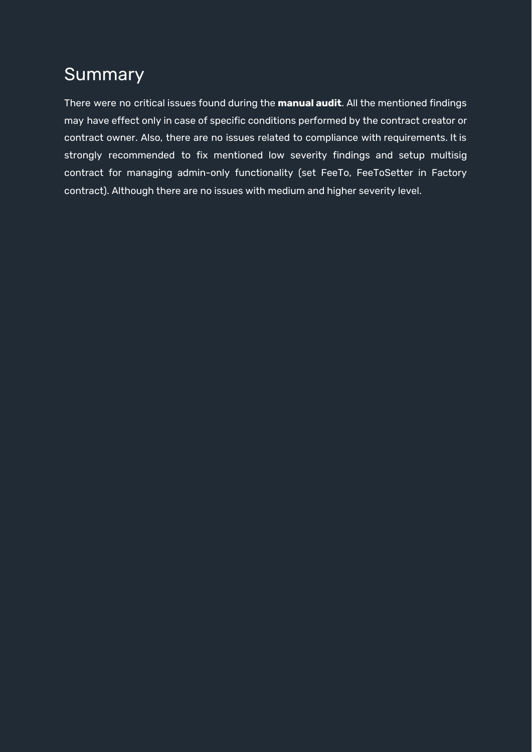## <span id="page-6-0"></span>**Summary**

There were no critical issues found during the **manual audit**. All the mentioned findings may have effect only in case of specific conditions performed by the contract creator or contract owner. Also, there are no issues related to compliance with requirements. It is strongly recommended to fix mentioned low severity findings and setup multisig contract for managing admin-only functionality (set FeeTo, FeeToSetter in Factory contract). Although there are no issues with medium and higher severity level.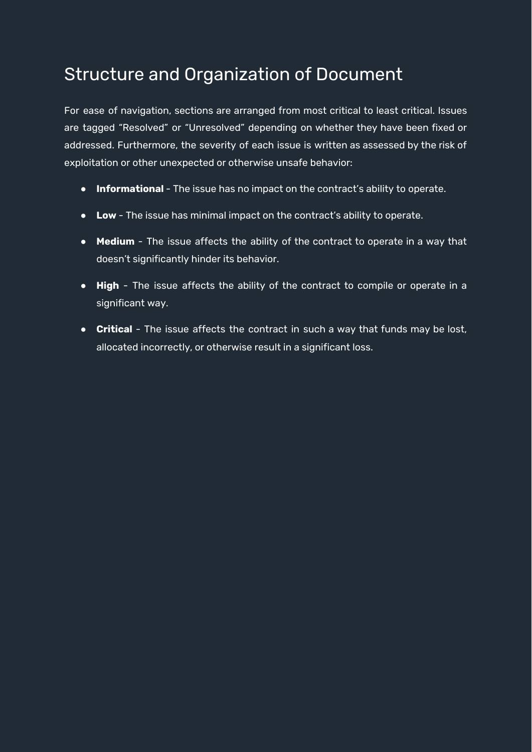# <span id="page-7-0"></span>Structure and Organization of Document

For ease of navigation, sections are arranged from most critical to least critical. Issues are tagged "Resolved" or "Unresolved" depending on whether they have been fixed or addressed. Furthermore, the severity of each issue is written as assessed by the risk of exploitation or other unexpected or otherwise unsafe behavior:

- **Informational** The issue has no impact on the contract's ability to operate.
- **Low** The issue has minimal impact on the contract's ability to operate.
- **Medium** The issue affects the ability of the contract to operate in a way that doesn't significantly hinder its behavior.
- **High** The issue affects the ability of the contract to compile or operate in a significant way.
- **Critical** The issue affects the contract in such a way that funds may be lost, allocated incorrectly, or otherwise result in a significant loss.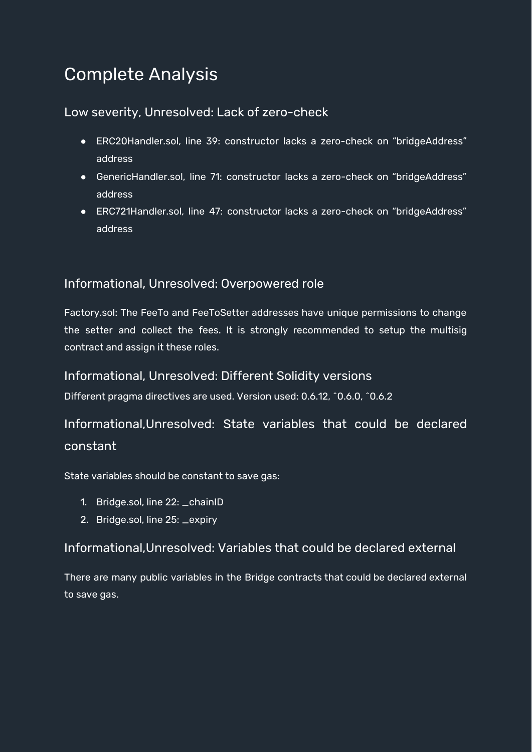# <span id="page-8-0"></span>Complete Analysis

#### Low severity, Unresolved: Lack of zero-check

- ERC20Handler.sol, line 39: constructor lacks a zero-check on "bridgeAddress" address
- GenericHandler.sol, line 71: constructor lacks a zero-check on "bridgeAddress" address
- ERC721Handler.sol, line 47: constructor lacks a zero-check on "bridgeAddress" address

#### <span id="page-8-1"></span>Informational, Unresolved: Overpowered role

Factory.sol: The FeeTo and FeeToSetter addresses have unique permissions to change the setter and collect the fees. It is strongly recommended to setup the multisig contract and assign it these roles.

#### Informational, Unresolved: Different Solidity versions

Different pragma directives are used. Version used: 0.6.12, ^0.6.0, ^0.6.2

### Informational,Unresolved: State variables that could be declared constant

State variables should be constant to save gas:

- 1. Bridge.sol, line 22: \_chainID
- 2. Bridge.sol, line 25: \_expiry

#### Informational,Unresolved: Variables that could be declared external

There are many public variables in the Bridge contracts that could be declared external to save gas.